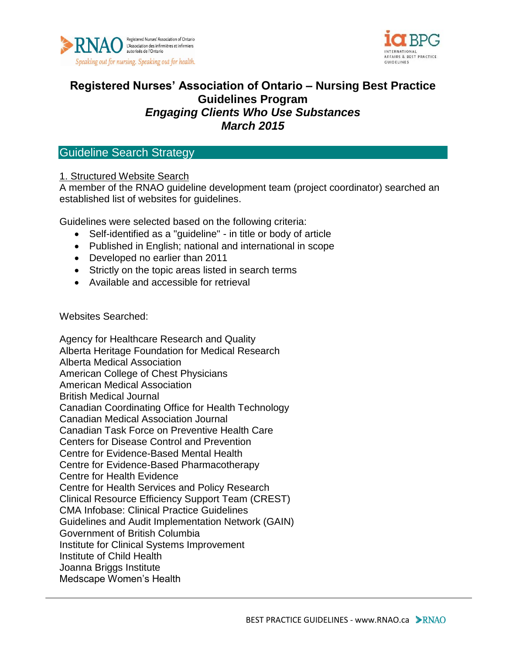



# **Registered Nurses' Association of Ontario – Nursing Best Practice Guidelines Program** *Engaging Clients Who Use Substances March 2015*

## Guideline Search Strategy

### 1. Structured Website Search

A member of the RNAO guideline development team (project coordinator) searched an established list of websites for guidelines.

Guidelines were selected based on the following criteria:

- Self-identified as a "guideline" in title or body of article
- Published in English; national and international in scope
- Developed no earlier than 2011
- Strictly on the topic areas listed in search terms
- Available and accessible for retrieval

Websites Searched:

Agency for Healthcare Research and Quality Alberta Heritage Foundation for Medical Research Alberta Medical Association American College of Chest Physicians American Medical Association British Medical Journal Canadian Coordinating Office for Health Technology Canadian Medical Association Journal Canadian Task Force on Preventive Health Care Centers for Disease Control and Prevention Centre for Evidence-Based Mental Health Centre for Evidence-Based Pharmacotherapy Centre for Health Evidence Centre for Health Services and Policy Research Clinical Resource Efficiency Support Team (CREST) CMA Infobase: Clinical Practice Guidelines Guidelines and Audit Implementation Network (GAIN) Government of British Columbia Institute for Clinical Systems Improvement Institute of Child Health Joanna Briggs Institute Medscape Women's Health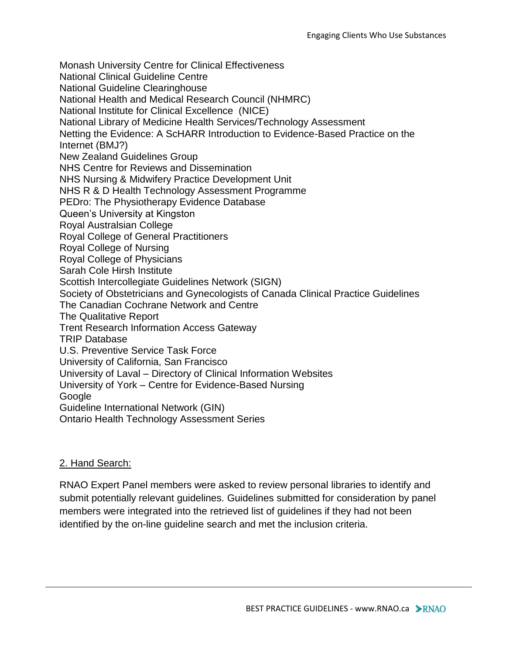Monash University Centre for Clinical Effectiveness National Clinical Guideline Centre National Guideline Clearinghouse National Health and Medical Research Council (NHMRC) National Institute for Clinical Excellence (NICE) National Library of Medicine Health Services/Technology Assessment Netting the Evidence: A ScHARR Introduction to Evidence-Based Practice on the Internet (BMJ?) New Zealand Guidelines Group NHS Centre for Reviews and Dissemination NHS Nursing & Midwifery Practice Development Unit NHS R & D Health Technology Assessment Programme PEDro: The Physiotherapy Evidence Database Queen's University at Kingston Royal Australsian College Royal College of General Practitioners Royal College of Nursing Royal College of Physicians Sarah Cole Hirsh Institute Scottish Intercollegiate Guidelines Network (SIGN) Society of Obstetricians and Gynecologists of Canada Clinical Practice Guidelines The Canadian Cochrane Network and Centre The Qualitative Report Trent Research Information Access Gateway TRIP Database U.S. Preventive Service Task Force University of California, San Francisco University of Laval – Directory of Clinical Information Websites University of York – Centre for Evidence-Based Nursing **Google** Guideline International Network (GIN) Ontario Health Technology Assessment Series

### 2. Hand Search:

RNAO Expert Panel members were asked to review personal libraries to identify and submit potentially relevant guidelines. Guidelines submitted for consideration by panel members were integrated into the retrieved list of guidelines if they had not been identified by the on-line guideline search and met the inclusion criteria.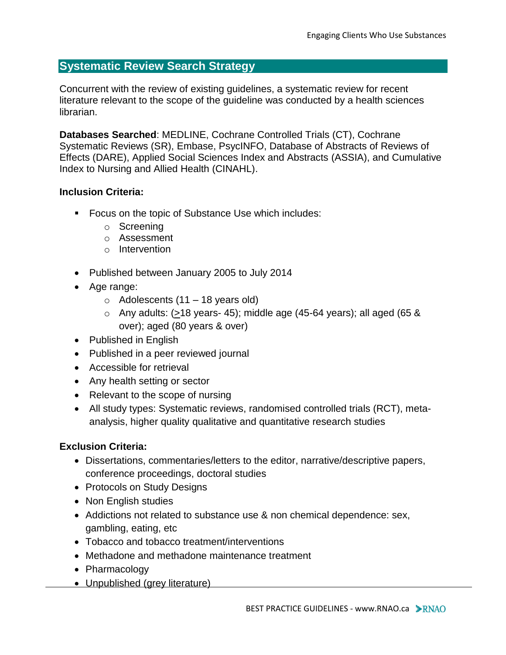## **Systematic Review Search Strategy**

Concurrent with the review of existing guidelines, a systematic review for recent literature relevant to the scope of the guideline was conducted by a health sciences librarian.

**Databases Searched**: MEDLINE, Cochrane Controlled Trials (CT), Cochrane Systematic Reviews (SR), Embase, PsycINFO, Database of Abstracts of Reviews of Effects (DARE), Applied Social Sciences Index and Abstracts (ASSIA), and Cumulative Index to Nursing and Allied Health (CINAHL).

#### **Inclusion Criteria:**

- **Focus on the topic of Substance Use which includes:** 
	- o Screening
	- o Assessment
	- o Intervention
- Published between January 2005 to July 2014
- Age range:
	- $\circ$  Adolescents (11 18 years old)
	- $\circ$  Any adults: ( $\geq$ 18 years- 45); middle age (45-64 years); all aged (65 & over); aged (80 years & over)
- Published in English
- Published in a peer reviewed journal
- Accessible for retrieval
- Any health setting or sector
- Relevant to the scope of nursing
- All study types: Systematic reviews, randomised controlled trials (RCT), metaanalysis, higher quality qualitative and quantitative research studies

### **Exclusion Criteria:**

- Dissertations, commentaries/letters to the editor, narrative/descriptive papers, conference proceedings, doctoral studies
- Protocols on Study Designs
- Non English studies
- Addictions not related to substance use & non chemical dependence: sex, gambling, eating, etc
- Tobacco and tobacco treatment/interventions
- Methadone and methadone maintenance treatment
- Pharmacology
- Unpublished (grey literature)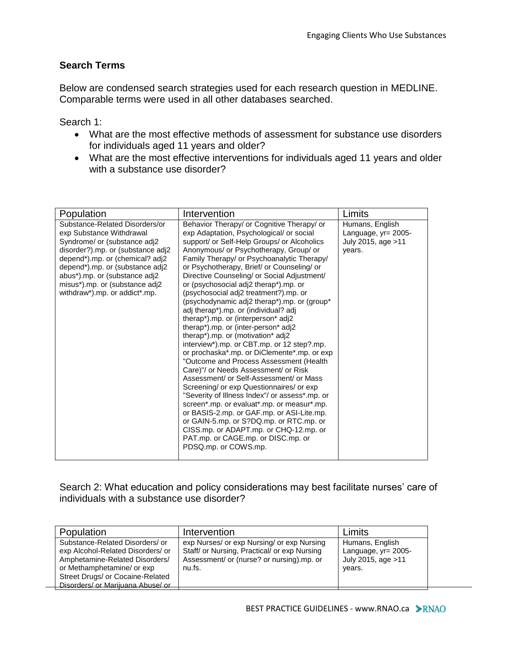### **Search Terms**

Below are condensed search strategies used for each research question in MEDLINE. Comparable terms were used in all other databases searched.

Search 1:

- What are the most effective methods of assessment for substance use disorders for individuals aged 11 years and older?
- What are the most effective interventions for individuals aged 11 years and older with a substance use disorder?

| Population                                                                                                                                                                                                                                                                                                | Intervention                                                                                                                                                                                                                                                                                                                                                                                                                                                                                                                                                                                                                                                                                                                                                                                                                                                                                                                                                                                                                                                                                                                                                                                 | Limits                                                                  |
|-----------------------------------------------------------------------------------------------------------------------------------------------------------------------------------------------------------------------------------------------------------------------------------------------------------|----------------------------------------------------------------------------------------------------------------------------------------------------------------------------------------------------------------------------------------------------------------------------------------------------------------------------------------------------------------------------------------------------------------------------------------------------------------------------------------------------------------------------------------------------------------------------------------------------------------------------------------------------------------------------------------------------------------------------------------------------------------------------------------------------------------------------------------------------------------------------------------------------------------------------------------------------------------------------------------------------------------------------------------------------------------------------------------------------------------------------------------------------------------------------------------------|-------------------------------------------------------------------------|
| Substance-Related Disorders/or<br>exp Substance Withdrawal<br>Syndrome/ or (substance adj2<br>disorder?).mp. or (substance adj2<br>depend*).mp. or (chemical? adj2<br>depend*).mp. or (substance adj2<br>abus*).mp. or (substance adj2<br>misus*).mp. or (substance adj2<br>withdraw*).mp. or addict*.mp. | Behavior Therapy/ or Cognitive Therapy/ or<br>exp Adaptation, Psychological/ or social<br>support/ or Self-Help Groups/ or Alcoholics<br>Anonymous/ or Psychotherapy, Group/ or<br>Family Therapy/ or Psychoanalytic Therapy/<br>or Psychotherapy, Brief/ or Counseling/ or<br>Directive Counseling/ or Social Adjustment/<br>or (psychosocial adj2 therap*).mp. or<br>(psychosocial adj2 treatment?).mp. or<br>(psychodynamic adj2 therap*).mp. or (group*<br>adj therap*).mp. or (individual? adj<br>therap*).mp. or (interperson* adj2<br>therap*).mp. or (inter-person* adj2<br>therap*).mp. or (motivation* adj2<br>interview*).mp. or CBT.mp. or 12 step?.mp.<br>or prochaska*.mp. or DiClemente*.mp. or exp<br>"Outcome and Process Assessment (Health<br>Care)"/ or Needs Assessment/ or Risk<br>Assessment/ or Self-Assessment/ or Mass<br>Screening/ or exp Questionnaires/ or exp<br>"Severity of Illness Index"/ or assess*.mp. or<br>screen*.mp. or evaluat*.mp. or measur*.mp.<br>or BASIS-2.mp. or GAF.mp. or ASI-Lite.mp.<br>or GAIN-5.mp. or S?DQ.mp. or RTC.mp. or<br>CISS.mp. or ADAPT.mp. or CHQ-12.mp. or<br>PAT.mp. or CAGE.mp. or DISC.mp. or<br>PDSQ.mp. or COWS.mp. | Humans, English<br>Language, yr= 2005-<br>July 2015, age > 11<br>years. |

Search 2: What education and policy considerations may best facilitate nurses' care of individuals with a substance use disorder?

| Population                                                                                                                                                                                                    | Intervention                                                                                                                                      | Limits                                                                     |
|---------------------------------------------------------------------------------------------------------------------------------------------------------------------------------------------------------------|---------------------------------------------------------------------------------------------------------------------------------------------------|----------------------------------------------------------------------------|
| Substance-Related Disorders/ or<br>exp Alcohol-Related Disorders/ or<br>Amphetamine-Related Disorders/<br>or Methamphetamine/ or exp<br>Street Drugs/ or Cocaine-Related<br>Disorders/ or Marijuana Abuse/ or | exp Nurses/ or exp Nursing/ or exp Nursing<br>Staff/ or Nursing, Practical/ or exp Nursing<br>Assessment/ or (nurse? or nursing).mp. or<br>nu.fs. | Humans, English<br>Language, $yr = 2005 -$<br>July 2015, age >11<br>years. |